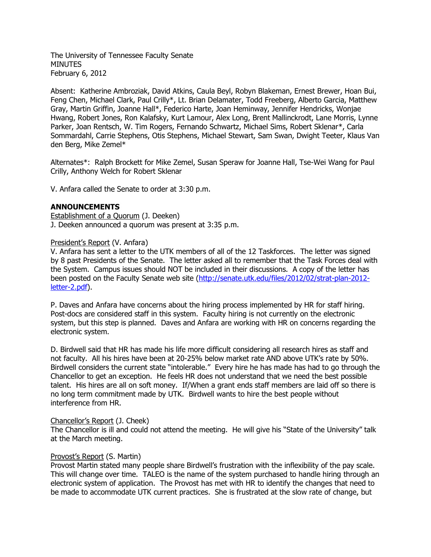The University of Tennessee Faculty Senate **MINUTES** February 6, 2012

Absent: Katherine Ambroziak, David Atkins, Caula Beyl, Robyn Blakeman, Ernest Brewer, Hoan Bui, Feng Chen, Michael Clark, Paul Crilly\*, Lt. Brian Delamater, Todd Freeberg, Alberto Garcia, Matthew Gray, Martin Griffin, Joanne Hall\*, Federico Harte, Joan Heminway, Jennifer Hendricks, Wonjae Hwang, Robert Jones, Ron Kalafsky, Kurt Lamour, Alex Long, Brent Mallinckrodt, Lane Morris, Lynne Parker, Joan Rentsch, W. Tim Rogers, Fernando Schwartz, Michael Sims, Robert Sklenar\*, Carla Sommardahl, Carrie Stephens, Otis Stephens, Michael Stewart, Sam Swan, Dwight Teeter, Klaus Van den Berg, Mike Zemel\*

Alternates\*: Ralph Brockett for Mike Zemel, Susan Speraw for Joanne Hall, Tse-Wei Wang for Paul Crilly, Anthony Welch for Robert Sklenar

V. Anfara called the Senate to order at 3:30 p.m.

### **ANNOUNCEMENTS**

Establishment of a Quorum (J. Deeken) J. Deeken announced a quorum was present at 3:35 p.m.

#### President's Report (V. Anfara)

V. Anfara has sent a letter to the UTK members of all of the 12 Taskforces. The letter was signed by 8 past Presidents of the Senate. The letter asked all to remember that the Task Forces deal with the System. Campus issues should NOT be included in their discussions. A copy of the letter has been posted on the Faculty Senate web site [\(http://senate.utk.edu/files/2012/02/strat-plan-2012](http://senate.utk.edu/files/2012/02/strat-plan-2012-letter-2.pdf) [letter-2.pdf\)](http://senate.utk.edu/files/2012/02/strat-plan-2012-letter-2.pdf).

P. Daves and Anfara have concerns about the hiring process implemented by HR for staff hiring. Post-docs are considered staff in this system. Faculty hiring is not currently on the electronic system, but this step is planned. Daves and Anfara are working with HR on concerns regarding the electronic system.

D. Birdwell said that HR has made his life more difficult considering all research hires as staff and not faculty. All his hires have been at 20-25% below market rate AND above UTK's rate by 50%. Birdwell considers the current state "intolerable." Every hire he has made has had to go through the Chancellor to get an exception. He feels HR does not understand that we need the best possible talent. His hires are all on soft money. If/When a grant ends staff members are laid off so there is no long term commitment made by UTK. Birdwell wants to hire the best people without interference from HR.

#### Chancellor's Report (J. Cheek)

The Chancellor is ill and could not attend the meeting. He will give his "State of the University" talk at the March meeting.

#### Provost's Report (S. Martin)

Provost Martin stated many people share Birdwell's frustration with the inflexibility of the pay scale. This will change over time. TALEO is the name of the system purchased to handle hiring through an electronic system of application. The Provost has met with HR to identify the changes that need to be made to accommodate UTK current practices. She is frustrated at the slow rate of change, but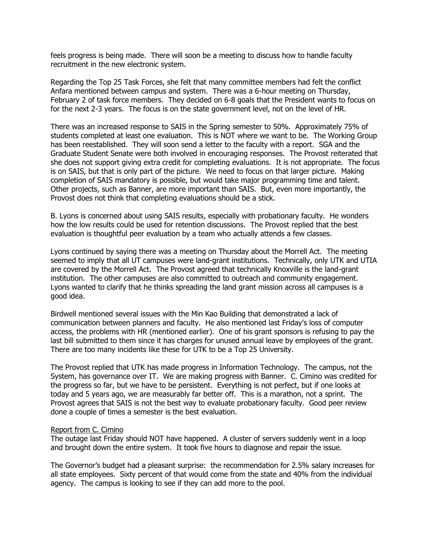feels progress is being made. There will soon be a meeting to discuss how to handle faculty recruitment in the new electronic system.

Regarding the Top 25 Task Forces, she felt that many committee members had felt the conflict Anfara mentioned between campus and system. There was a 6-hour meeting on Thursday, February 2 of task force members. They decided on 6-8 goals that the President wants to focus on for the next 2-3 years. The focus is on the state government level, not on the level of HR.

There was an increased response to SAIS in the Spring semester to 50%. Approximately 75% of students completed at least one evaluation. This is NOT where we want to be. The Working Group has been reestablished. They will soon send a letter to the faculty with a report. SGA and the Graduate Student Senate were both involved in encouraging responses. The Provost reiterated that she does not support giving extra credit for completing evaluations. It is not appropriate. The focus is on SAIS, but that is only part of the picture. We need to focus on that larger picture. Making completion of SAIS mandatory is possible, but would take major programming time and talent. Other projects, such as Banner, are more important than SAIS. But, even more importantly, the Provost does not think that completing evaluations should be a stick.

B. Lyons is concerned about using SAIS results, especially with probationary faculty. He wonders how the low results could be used for retention discussions. The Provost replied that the best evaluation is thoughtful peer evaluation by a team who actually attends a few classes.

Lyons continued by saying there was a meeting on Thursday about the Morrell Act. The meeting seemed to imply that all UT campuses were land-grant institutions. Technically, only UTK and UTIA are covered by the Morrell Act. The Provost agreed that technically Knoxville is the land-grant institution. The other campuses are also committed to outreach and community engagement. Lyons wanted to clarify that he thinks spreading the land grant mission across all campuses is a good idea.

Birdwell mentioned several issues with the Min Kao Building that demonstrated a lack of communication between planners and faculty. He also mentioned last Friday's loss of computer access, the problems with HR (mentioned earlier). One of his grant sponsors is refusing to pay the last bill submitted to them since it has charges for unused annual leave by employees of the grant. There are too many incidents like these for UTK to be a Top 25 University.

The Provost replied that UTK has made progress in Information Technology. The campus, not the System, has governance over IT. We are making progress with Banner. C. Cimino was credited for the progress so far, but we have to be persistent. Everything is not perfect, but if one looks at today and 5 years ago, we are measurably far better off. This is a marathon, not a sprint. The Provost agrees that SAIS is not the best way to evaluate probationary faculty. Good peer review done a couple of times a semester is the best evaluation.

#### Report from C. Cimino

The outage last Friday should NOT have happened. A cluster of servers suddenly went in a loop and brought down the entire system. It took five hours to diagnose and repair the issue.

The Governor's budget had a pleasant surprise: the recommendation for 2.5% salary increases for all state employees. Sixty percent of that would come from the state and 40% from the individual agency. The campus is looking to see if they can add more to the pool.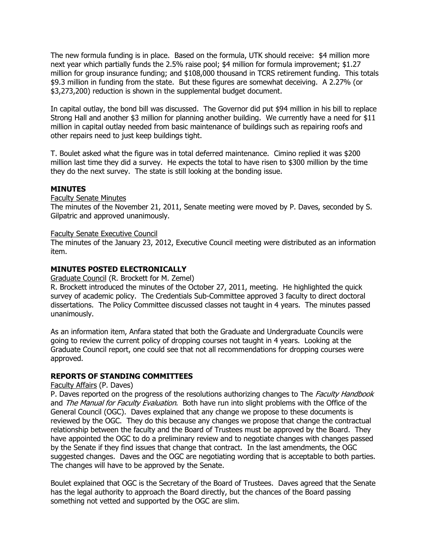The new formula funding is in place. Based on the formula, UTK should receive: \$4 million more next year which partially funds the 2.5% raise pool; \$4 million for formula improvement; \$1.27 million for group insurance funding; and \$108,000 thousand in TCRS retirement funding. This totals \$9.3 million in funding from the state. But these figures are somewhat deceiving. A 2.27% (or \$3,273,200) reduction is shown in the supplemental budget document.

In capital outlay, the bond bill was discussed. The Governor did put \$94 million in his bill to replace Strong Hall and another \$3 million for planning another building. We currently have a need for \$11 million in capital outlay needed from basic maintenance of buildings such as repairing roofs and other repairs need to just keep buildings tight.

T. Boulet asked what the figure was in total deferred maintenance. Cimino replied it was \$200 million last time they did a survey. He expects the total to have risen to \$300 million by the time they do the next survey. The state is still looking at the bonding issue.

### **MINUTES**

## Faculty Senate Minutes

The minutes of the November 21, 2011, Senate meeting were moved by P. Daves, seconded by S. Gilpatric and approved unanimously.

#### Faculty Senate Executive Council

The minutes of the January 23, 2012, Executive Council meeting were distributed as an information item.

### **MINUTES POSTED ELECTRONICALLY**

Graduate Council (R. Brockett for M. Zemel)

R. Brockett introduced the minutes of the October 27, 2011, meeting. He highlighted the quick survey of academic policy. The Credentials Sub-Committee approved 3 faculty to direct doctoral dissertations. The Policy Committee discussed classes not taught in 4 years. The minutes passed unanimously.

As an information item, Anfara stated that both the Graduate and Undergraduate Councils were going to review the current policy of dropping courses not taught in 4 years. Looking at the Graduate Council report, one could see that not all recommendations for dropping courses were approved.

#### **REPORTS OF STANDING COMMITTEES**

#### Faculty Affairs (P. Daves)

P. Daves reported on the progress of the resolutions authorizing changes to The Faculty Handbook and The Manual for Faculty Evaluation. Both have run into slight problems with the Office of the General Council (OGC). Daves explained that any change we propose to these documents is reviewed by the OGC. They do this because any changes we propose that change the contractual relationship between the faculty and the Board of Trustees must be approved by the Board. They have appointed the OGC to do a preliminary review and to negotiate changes with changes passed by the Senate if they find issues that change that contract. In the last amendments, the OGC suggested changes. Daves and the OGC are negotiating wording that is acceptable to both parties. The changes will have to be approved by the Senate.

Boulet explained that OGC is the Secretary of the Board of Trustees. Daves agreed that the Senate has the legal authority to approach the Board directly, but the chances of the Board passing something not vetted and supported by the OGC are slim.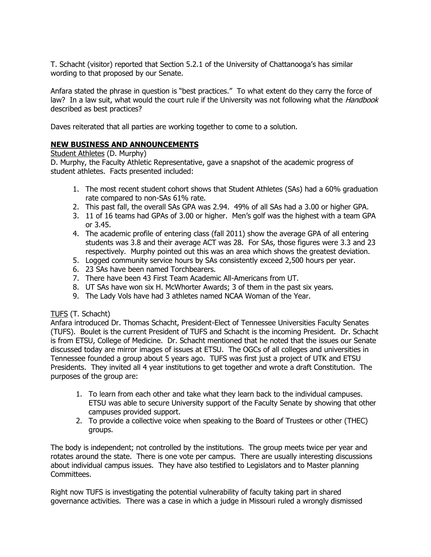T. Schacht (visitor) reported that Section 5.2.1 of the University of Chattanooga's has similar wording to that proposed by our Senate.

Anfara stated the phrase in question is "best practices." To what extent do they carry the force of law? In a law suit, what would the court rule if the University was not following what the *Handbook* described as best practices?

Daves reiterated that all parties are working together to come to a solution.

## **NEW BUSINESS AND ANNOUNCEMENTS**

### Student Athletes (D. Murphy)

D. Murphy, the Faculty Athletic Representative, gave a snapshot of the academic progress of student athletes. Facts presented included:

- 1. The most recent student cohort shows that Student Athletes (SAs) had a 60% graduation rate compared to non-SAs 61% rate.
- 2. This past fall, the overall SAs GPA was 2.94. 49% of all SAs had a 3.00 or higher GPA.
- 3. 11 of 16 teams had GPAs of 3.00 or higher. Men's golf was the highest with a team GPA or 3.45.
- 4. The academic profile of entering class (fall 2011) show the average GPA of all entering students was 3.8 and their average ACT was 28. For SAs, those figures were 3.3 and 23 respectively. Murphy pointed out this was an area which shows the greatest deviation.
- 5. Logged community service hours by SAs consistently exceed 2,500 hours per year.
- 6. 23 SAs have been named Torchbearers.
- 7. There have been 43 First Team Academic All-Americans from UT.
- 8. UT SAs have won six H. McWhorter Awards; 3 of them in the past six years.
- 9. The Lady Vols have had 3 athletes named NCAA Woman of the Year.

# TUFS (T. Schacht)

Anfara introduced Dr. Thomas Schacht, President-Elect of Tennessee Universities Faculty Senates (TUFS). Boulet is the current President of TUFS and Schacht is the incoming President. Dr. Schacht is from ETSU, College of Medicine. Dr. Schacht mentioned that he noted that the issues our Senate discussed today are mirror images of issues at ETSU. The OGCs of all colleges and universities in Tennessee founded a group about 5 years ago. TUFS was first just a project of UTK and ETSU Presidents. They invited all 4 year institutions to get together and wrote a draft Constitution. The purposes of the group are:

- 1. To learn from each other and take what they learn back to the individual campuses. ETSU was able to secure University support of the Faculty Senate by showing that other campuses provided support.
- 2. To provide a collective voice when speaking to the Board of Trustees or other (THEC) groups.

The body is independent; not controlled by the institutions. The group meets twice per year and rotates around the state. There is one vote per campus. There are usually interesting discussions about individual campus issues. They have also testified to Legislators and to Master planning Committees.

Right now TUFS is investigating the potential vulnerability of faculty taking part in shared governance activities. There was a case in which a judge in Missouri ruled a wrongly dismissed